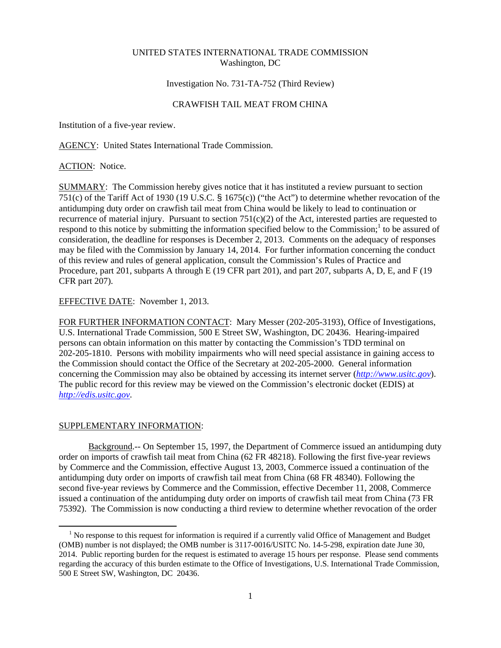### UNITED STATES INTERNATIONAL TRADE COMMISSION Washington, DC

### Investigation No. 731-TA-752 (Third Review)

## CRAWFISH TAIL MEAT FROM CHINA

Institution of a five-year review.

AGENCY: United States International Trade Commission.

### ACTION: Notice.

SUMMARY: The Commission hereby gives notice that it has instituted a review pursuant to section 751(c) of the Tariff Act of 1930 (19 U.S.C. § 1675(c)) ("the Act") to determine whether revocation of the antidumping duty order on crawfish tail meat from China would be likely to lead to continuation or recurrence of material injury. Pursuant to section  $751(c)(2)$  of the Act, interested parties are requested to respond to this notice by submitting the information specified below to the Commission;<sup>1</sup> to be assured of consideration, the deadline for responses is December 2, 2013. Comments on the adequacy of responses may be filed with the Commission by January 14, 2014. For further information concerning the conduct of this review and rules of general application, consult the Commission's Rules of Practice and Procedure, part 201, subparts A through E (19 CFR part 201), and part 207, subparts A, D, E, and F (19 CFR part 207).

# EFFECTIVE DATE: November 1, 2013.

FOR FURTHER INFORMATION CONTACT: Mary Messer (202-205-3193), Office of Investigations, U.S. International Trade Commission, 500 E Street SW, Washington, DC 20436. Hearing-impaired persons can obtain information on this matter by contacting the Commission's TDD terminal on 202-205-1810. Persons with mobility impairments who will need special assistance in gaining access to the Commission should contact the Office of the Secretary at 202-205-2000. General information concerning the Commission may also be obtained by accessing its internet server (*http://www.usitc.gov*). The public record for this review may be viewed on the Commission's electronic docket (EDIS) at *http://edis.usitc.gov*.

#### SUPPLEMENTARY INFORMATION:

 $\overline{a}$ 

Background.-- On September 15, 1997, the Department of Commerce issued an antidumping duty order on imports of crawfish tail meat from China (62 FR 48218). Following the first five-year reviews by Commerce and the Commission, effective August 13, 2003, Commerce issued a continuation of the antidumping duty order on imports of crawfish tail meat from China (68 FR 48340). Following the second five-year reviews by Commerce and the Commission, effective December 11, 2008, Commerce issued a continuation of the antidumping duty order on imports of crawfish tail meat from China (73 FR 75392). The Commission is now conducting a third review to determine whether revocation of the order

<sup>&</sup>lt;sup>1</sup> No response to this request for information is required if a currently valid Office of Management and Budget (OMB) number is not displayed; the OMB number is 3117-0016/USITC No. 14-5-298, expiration date June 30, 2014. Public reporting burden for the request is estimated to average 15 hours per response. Please send comments regarding the accuracy of this burden estimate to the Office of Investigations, U.S. International Trade Commission, 500 E Street SW, Washington, DC 20436.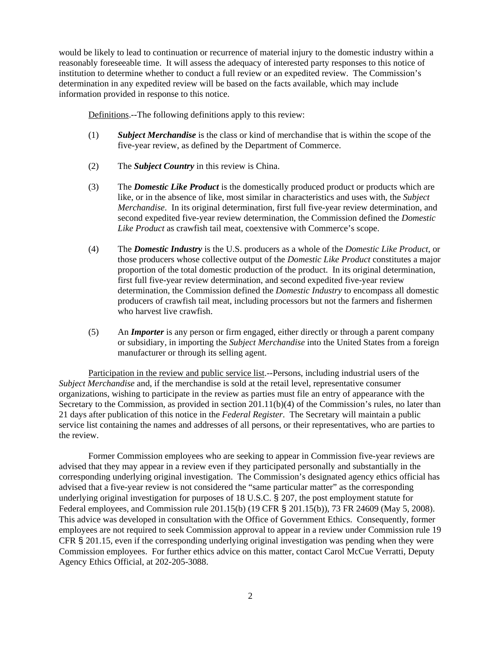would be likely to lead to continuation or recurrence of material injury to the domestic industry within a reasonably foreseeable time. It will assess the adequacy of interested party responses to this notice of institution to determine whether to conduct a full review or an expedited review. The Commission's determination in any expedited review will be based on the facts available, which may include information provided in response to this notice.

Definitions.--The following definitions apply to this review:

- (1) *Subject Merchandise* is the class or kind of merchandise that is within the scope of the five-year review, as defined by the Department of Commerce.
- (2) The *Subject Country* in this review is China.
- (3) The *Domestic Like Product* is the domestically produced product or products which are like, or in the absence of like, most similar in characteristics and uses with, the *Subject Merchandise*. In its original determination, first full five-year review determination, and second expedited five-year review determination, the Commission defined the *Domestic Like Product* as crawfish tail meat, coextensive with Commerce's scope.
- (4) The *Domestic Industry* is the U.S. producers as a whole of the *Domestic Like Product*, or those producers whose collective output of the *Domestic Like Product* constitutes a major proportion of the total domestic production of the product. In its original determination, first full five-year review determination, and second expedited five-year review determination, the Commission defined the *Domestic Industry* to encompass all domestic producers of crawfish tail meat, including processors but not the farmers and fishermen who harvest live crawfish.
- (5) An *Importer* is any person or firm engaged, either directly or through a parent company or subsidiary, in importing the *Subject Merchandise* into the United States from a foreign manufacturer or through its selling agent.

Participation in the review and public service list.--Persons, including industrial users of the *Subject Merchandise* and, if the merchandise is sold at the retail level, representative consumer organizations, wishing to participate in the review as parties must file an entry of appearance with the Secretary to the Commission, as provided in section 201.11(b)(4) of the Commission's rules, no later than 21 days after publication of this notice in the *Federal Register*. The Secretary will maintain a public service list containing the names and addresses of all persons, or their representatives, who are parties to the review.

Former Commission employees who are seeking to appear in Commission five-year reviews are advised that they may appear in a review even if they participated personally and substantially in the corresponding underlying original investigation. The Commission's designated agency ethics official has advised that a five-year review is not considered the "same particular matter" as the corresponding underlying original investigation for purposes of 18 U.S.C. § 207, the post employment statute for Federal employees, and Commission rule 201.15(b) (19 CFR § 201.15(b)), 73 FR 24609 (May 5, 2008). This advice was developed in consultation with the Office of Government Ethics. Consequently, former employees are not required to seek Commission approval to appear in a review under Commission rule 19 CFR § 201.15, even if the corresponding underlying original investigation was pending when they were Commission employees. For further ethics advice on this matter, contact Carol McCue Verratti, Deputy Agency Ethics Official, at 202-205-3088.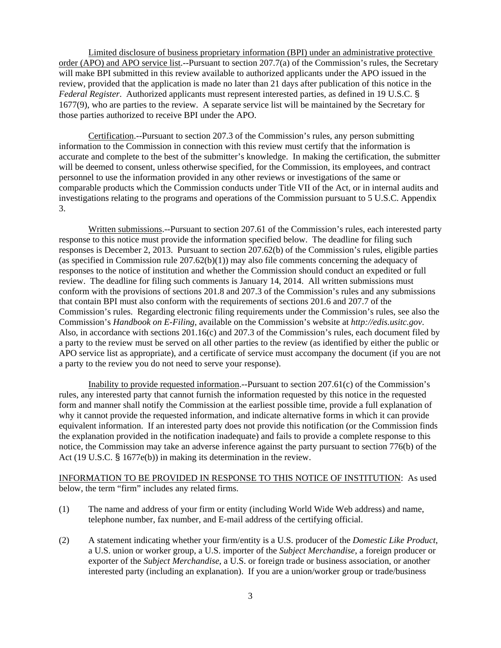Limited disclosure of business proprietary information (BPI) under an administrative protective order (APO) and APO service list.--Pursuant to section 207.7(a) of the Commission's rules, the Secretary will make BPI submitted in this review available to authorized applicants under the APO issued in the review, provided that the application is made no later than 21 days after publication of this notice in the *Federal Register*. Authorized applicants must represent interested parties, as defined in 19 U.S.C. § 1677(9), who are parties to the review. A separate service list will be maintained by the Secretary for those parties authorized to receive BPI under the APO.

Certification.--Pursuant to section 207.3 of the Commission's rules, any person submitting information to the Commission in connection with this review must certify that the information is accurate and complete to the best of the submitter's knowledge. In making the certification, the submitter will be deemed to consent, unless otherwise specified, for the Commission, its employees, and contract personnel to use the information provided in any other reviews or investigations of the same or comparable products which the Commission conducts under Title VII of the Act, or in internal audits and investigations relating to the programs and operations of the Commission pursuant to 5 U.S.C. Appendix 3.

Written submissions.--Pursuant to section 207.61 of the Commission's rules, each interested party response to this notice must provide the information specified below. The deadline for filing such responses is December 2, 2013. Pursuant to section 207.62(b) of the Commission's rules, eligible parties (as specified in Commission rule  $207.62(b)(1)$ ) may also file comments concerning the adequacy of responses to the notice of institution and whether the Commission should conduct an expedited or full review. The deadline for filing such comments is January 14, 2014. All written submissions must conform with the provisions of sections 201.8 and 207.3 of the Commission's rules and any submissions that contain BPI must also conform with the requirements of sections 201.6 and 207.7 of the Commission's rules. Regarding electronic filing requirements under the Commission's rules, see also the Commission's *Handbook on E-Filing*, available on the Commission's website at *http://edis.usitc.gov*. Also, in accordance with sections 201.16(c) and 207.3 of the Commission's rules, each document filed by a party to the review must be served on all other parties to the review (as identified by either the public or APO service list as appropriate), and a certificate of service must accompany the document (if you are not a party to the review you do not need to serve your response).

Inability to provide requested information.--Pursuant to section 207.61(c) of the Commission's rules, any interested party that cannot furnish the information requested by this notice in the requested form and manner shall notify the Commission at the earliest possible time, provide a full explanation of why it cannot provide the requested information, and indicate alternative forms in which it can provide equivalent information. If an interested party does not provide this notification (or the Commission finds the explanation provided in the notification inadequate) and fails to provide a complete response to this notice, the Commission may take an adverse inference against the party pursuant to section 776(b) of the Act (19 U.S.C. § 1677e(b)) in making its determination in the review.

INFORMATION TO BE PROVIDED IN RESPONSE TO THIS NOTICE OF INSTITUTION: As used below, the term "firm" includes any related firms.

- (1) The name and address of your firm or entity (including World Wide Web address) and name, telephone number, fax number, and E-mail address of the certifying official.
- (2) A statement indicating whether your firm/entity is a U.S. producer of the *Domestic Like Product*, a U.S. union or worker group, a U.S. importer of the *Subject Merchandise*, a foreign producer or exporter of the *Subject Merchandise*, a U.S. or foreign trade or business association, or another interested party (including an explanation). If you are a union/worker group or trade/business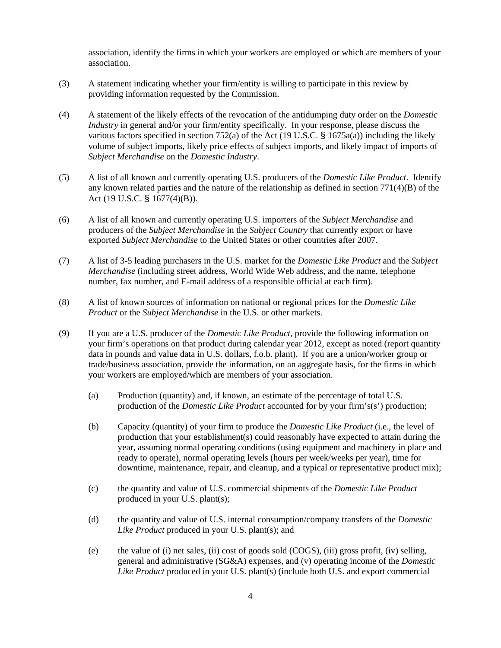association, identify the firms in which your workers are employed or which are members of your association.

- (3) A statement indicating whether your firm/entity is willing to participate in this review by providing information requested by the Commission.
- (4) A statement of the likely effects of the revocation of the antidumping duty order on the *Domestic Industry* in general and/or your firm/entity specifically. In your response, please discuss the various factors specified in section 752(a) of the Act (19 U.S.C. § 1675a(a)) including the likely volume of subject imports, likely price effects of subject imports, and likely impact of imports of *Subject Merchandise* on the *Domestic Industry*.
- (5) A list of all known and currently operating U.S. producers of the *Domestic Like Product*. Identify any known related parties and the nature of the relationship as defined in section  $771(4)(B)$  of the Act (19 U.S.C. § 1677(4)(B)).
- (6) A list of all known and currently operating U.S. importers of the *Subject Merchandise* and producers of the *Subject Merchandise* in the *Subject Country* that currently export or have exported *Subject Merchandise* to the United States or other countries after 2007.
- (7) A list of 3-5 leading purchasers in the U.S. market for the *Domestic Like Product* and the *Subject Merchandise* (including street address, World Wide Web address, and the name, telephone number, fax number, and E-mail address of a responsible official at each firm).
- (8) A list of known sources of information on national or regional prices for the *Domestic Like Product* or the *Subject Merchandise* in the U.S. or other markets.
- (9) If you are a U.S. producer of the *Domestic Like Product*, provide the following information on your firm's operations on that product during calendar year 2012, except as noted (report quantity data in pounds and value data in U.S. dollars, f.o.b. plant). If you are a union/worker group or trade/business association, provide the information, on an aggregate basis, for the firms in which your workers are employed/which are members of your association.
	- (a) Production (quantity) and, if known, an estimate of the percentage of total U.S. production of the *Domestic Like Product* accounted for by your firm's(s') production;
	- (b) Capacity (quantity) of your firm to produce the *Domestic Like Product* (i.e., the level of production that your establishment(s) could reasonably have expected to attain during the year, assuming normal operating conditions (using equipment and machinery in place and ready to operate), normal operating levels (hours per week/weeks per year), time for downtime, maintenance, repair, and cleanup, and a typical or representative product mix);
	- (c) the quantity and value of U.S. commercial shipments of the *Domestic Like Product* produced in your U.S. plant(s);
	- (d) the quantity and value of U.S. internal consumption/company transfers of the *Domestic Like Product* produced in your U.S. plant(s); and
	- (e) the value of (i) net sales, (ii) cost of goods sold (COGS), (iii) gross profit, (iv) selling, general and administrative (SG&A) expenses, and (v) operating income of the *Domestic Like Product* produced in your U.S. plant(s) (include both U.S. and export commercial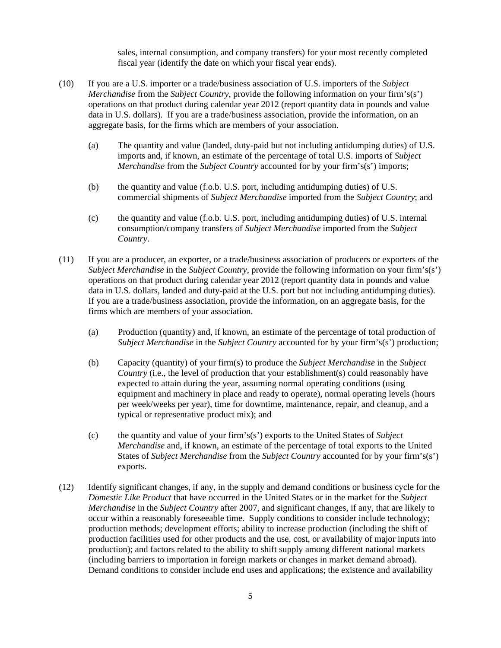sales, internal consumption, and company transfers) for your most recently completed fiscal year (identify the date on which your fiscal year ends).

- (10) If you are a U.S. importer or a trade/business association of U.S. importers of the *Subject Merchandise* from the *Subject Country*, provide the following information on your firm's(s') operations on that product during calendar year 2012 (report quantity data in pounds and value data in U.S. dollars). If you are a trade/business association, provide the information, on an aggregate basis, for the firms which are members of your association.
	- (a) The quantity and value (landed, duty-paid but not including antidumping duties) of U.S. imports and, if known, an estimate of the percentage of total U.S. imports of *Subject Merchandise* from the *Subject Country* accounted for by your firm's(s') imports;
	- (b) the quantity and value (f.o.b. U.S. port, including antidumping duties) of U.S. commercial shipments of *Subject Merchandise* imported from the *Subject Country*; and
	- (c) the quantity and value (f.o.b. U.S. port, including antidumping duties) of U.S. internal consumption/company transfers of *Subject Merchandise* imported from the *Subject Country*.
- (11) If you are a producer, an exporter, or a trade/business association of producers or exporters of the *Subject Merchandise* in the *Subject Country*, provide the following information on your firm's(s') operations on that product during calendar year 2012 (report quantity data in pounds and value data in U.S. dollars, landed and duty-paid at the U.S. port but not including antidumping duties). If you are a trade/business association, provide the information, on an aggregate basis, for the firms which are members of your association.
	- (a) Production (quantity) and, if known, an estimate of the percentage of total production of *Subject Merchandise* in the *Subject Country* accounted for by your firm's(s') production;
	- (b) Capacity (quantity) of your firm(s) to produce the *Subject Merchandise* in the *Subject Country* (i.e., the level of production that your establishment(s) could reasonably have expected to attain during the year, assuming normal operating conditions (using equipment and machinery in place and ready to operate), normal operating levels (hours per week/weeks per year), time for downtime, maintenance, repair, and cleanup, and a typical or representative product mix); and
	- (c) the quantity and value of your firm's(s') exports to the United States of *Subject Merchandise* and, if known, an estimate of the percentage of total exports to the United States of *Subject Merchandise* from the *Subject Country* accounted for by your firm's(s') exports.
- (12) Identify significant changes, if any, in the supply and demand conditions or business cycle for the *Domestic Like Product* that have occurred in the United States or in the market for the *Subject Merchandise* in the *Subject Country* after 2007, and significant changes, if any, that are likely to occur within a reasonably foreseeable time. Supply conditions to consider include technology; production methods; development efforts; ability to increase production (including the shift of production facilities used for other products and the use, cost, or availability of major inputs into production); and factors related to the ability to shift supply among different national markets (including barriers to importation in foreign markets or changes in market demand abroad). Demand conditions to consider include end uses and applications; the existence and availability